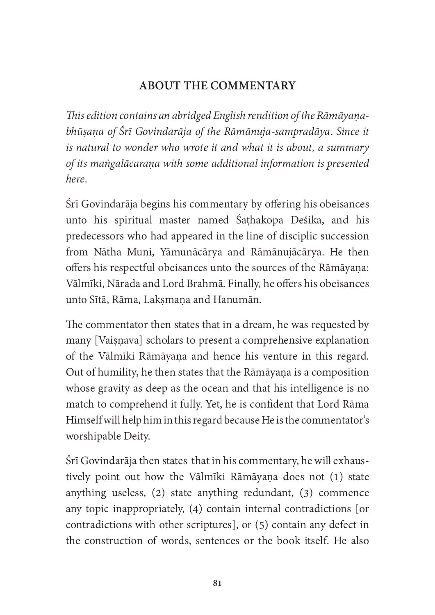## ABOUT THE COMMENTARY

This edition contains an abridged English rendition of the Rāmāyanabhūsana of Śrī Govindarāja of the Rāmānuja-sampradāya. Since it is natural to wonder who wrote it and what it is about, a summary of its mangalācaraṇa with some additional information is presented here.

Śrī Govindarāja begins his commentary by offering his obeisances unto his spiritual master named Śaṭhakopa Deśika, and his predecessors who had appeared in the line of disciplic succession from Nātha Muni, Yāmunācārya and Rāmānujācārya. He then offers his respectful obeisances unto the sources of the Rāmāyaṇa: Vālmīki, Nārada and Lord Brahmā. Finally, he offers his obeisances unto Sītā, Rāma, Laksmana and Hanumān.

The commentator then states that in a dream, he was requested by many [Vaisnava] scholars to present a comprehensive explanation of the Vālmīki Rāmāyana and hence his venture in this regard. Out of humility, he then states that the Rāmāyaṇa is a composition whose gravity as deep as the ocean and that his intelligence is no match to comprehend it fully. Yet, he is confident that Lord Rāma Himself will help him in this regard because He is the commentator's worshipable Deity.

Śrī Govindarāja then states that in his commentary, he will exhaustively point out how the Vālmīki Rāmāyaṇa does not (1) state anything useless, (2) state anything redundant, (3) commence any topic inappropriately, (4) contain internal contradictions [or contradictions with other scriptures], or (5) contain any defect in the construction of words, sentences or the book itself. He also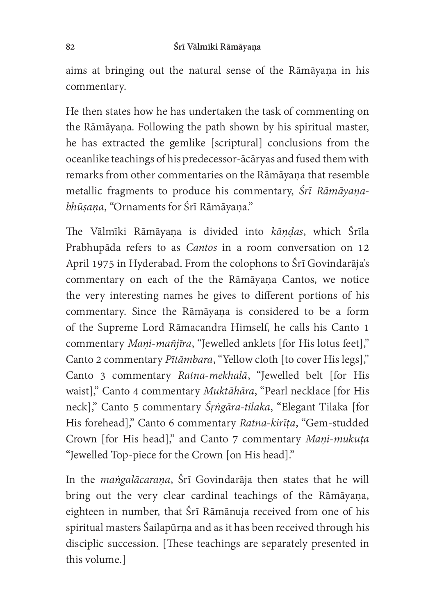## 82 Śrī Vālmīki Rāmāyaṇa

aims at bringing out the natural sense of the Rāmāyaṇa in his commentary.

He then states how he has undertaken the task of commenting on the Rāmāyaṇa. Following the path shown by his spiritual master, he has extracted the gemlike [scriptural] conclusions from the oceanlike teachings of his predecessor-ācāryas and fused them with remarks from other commentaries on the Rāmāyana that resemble metallic fragments to produce his commentary, Śrī Rāmāyaṇabhūsana, "Ornaments for Śrī Rāmāyana."

The Vālmīki Rāmāyaṇa is divided into kāņdas, which Śrīla Prabhupāda refers to as Cantos in a room conversation on 12 April 1975 in Hyderabad. From the colophons to Śrī Govindarāja's commentary on each of the the Rāmāyaṇa Cantos, we notice the very interesting names he gives to different portions of his commentary. Since the Rāmāyaṇa is considered to be a form of the Supreme Lord Rāmacandra Himself, he calls his Canto 1 commentary Mani-mañjīra, "Jewelled anklets [for His lotus feet]," Canto 2 commentary Pītāmbara, "Yellow cloth [to cover His legs]," Canto 3 commentary Ratna-mekhalā, "Jewelled belt [for His waist]," Canto 4 commentary Muktāhāra, "Pearl necklace [for His neck]," Canto 5 commentary Śrngāra-tilaka, "Elegant Tilaka [for His forehead]," Canto 6 commentary Ratna-kirīța, "Gem-studded Crown [for His head]," and Canto 7 commentary Mani-mukuṭa "Jewelled Top-piece for the Crown [on His head]."

In the maṅgalācaraṇa, Śrī Govindarāja then states that he will bring out the very clear cardinal teachings of the Rāmāyaṇa, eighteen in number, that Śrī Rāmānuja received from one of his spiritual masters Śailapūrṇa and as it has been received through his disciplic succession. [These teachings are separately presented in this volume.]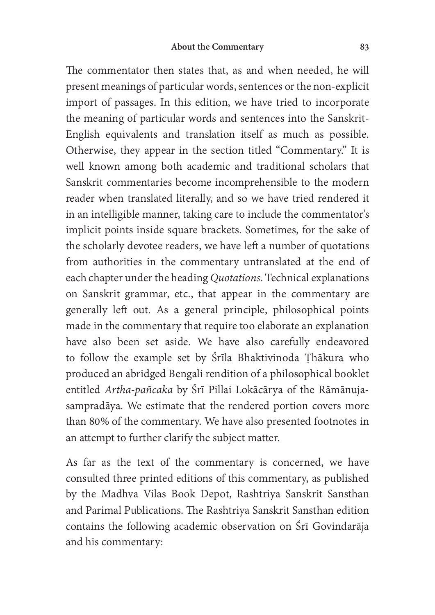The commentator then states that, as and when needed, he will present meanings of particular words, sentences or the non-explicit import of passages. In this edition, we have tried to incorporate the meaning of particular words and sentences into the Sanskrit-English equivalents and translation itself as much as possible. Otherwise, they appear in the section titled "Commentary." It is well known among both academic and traditional scholars that Sanskrit commentaries become incomprehensible to the modern reader when translated literally, and so we have tried rendered it in an intelligible manner, taking care to include the commentator's implicit points inside square brackets. Sometimes, for the sake of the scholarly devotee readers, we have left a number of quotations from authorities in the commentary untranslated at the end of each chapter under the heading Quotations. Technical explanations on Sanskrit grammar, etc., that appear in the commentary are generally left out. As a general principle, philosophical points made in the commentary that require too elaborate an explanation have also been set aside. We have also carefully endeavored to follow the example set by Śrīla Bhaktivinoda Thākura who produced an abridged Bengali rendition of a philosophical booklet entitled Artha-pañcaka by Śrī Pillai Lokācārya of the Rāmānujasampradāya. We estimate that the rendered portion covers more than 80% of the commentary. We have also presented footnotes in an attempt to further clarify the subject matter.

As far as the text of the commentary is concerned, we have consulted three printed editions of this commentary, as published by the Madhva Vilas Book Depot, Rashtriya Sanskrit Sansthan and Parimal Publications. The Rashtriya Sanskrit Sansthan edition contains the following academic observation on Śrī Govindarāja and his commentary: